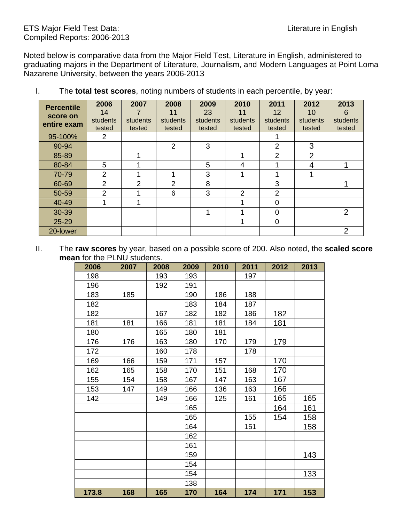## ETS Major Field Test Data: Literature in English Compiled Reports: 2006-2013

Noted below is comparative data from the Major Field Test, Literature in English, administered to graduating majors in the Department of Literature, Journalism, and Modern Languages at Point Loma Nazarene University, between the years 2006-2013

| <b>Percentile</b><br>score on<br>entire exam | 2006<br>14<br>students<br>tested | 2007<br>students<br>tested | 2008<br>11<br>students<br>tested | 2009<br>23<br>students<br>tested | 2010<br>11<br>students<br>tested | 2011<br>$12 \overline{ }$<br>students<br>tested | 2012<br>10<br>students<br>tested | 2013<br>6<br>students<br>tested |
|----------------------------------------------|----------------------------------|----------------------------|----------------------------------|----------------------------------|----------------------------------|-------------------------------------------------|----------------------------------|---------------------------------|
| 95-100%                                      | 2                                |                            |                                  |                                  |                                  |                                                 |                                  |                                 |
| 90-94                                        |                                  |                            | 2                                | 3                                |                                  | 2                                               | 3                                |                                 |
| 85-89                                        |                                  |                            |                                  |                                  |                                  | 2                                               | $\overline{2}$                   |                                 |
| 80-84                                        | 5                                |                            |                                  | 5                                | 4                                |                                                 | 4                                |                                 |
| 70-79                                        | 2                                |                            |                                  | 3                                |                                  |                                                 |                                  |                                 |
| 60-69                                        | $\overline{2}$                   | 2                          | 2                                | 8                                |                                  | 3                                               |                                  |                                 |
| 50-59                                        | $\overline{2}$                   |                            | 6                                | 3                                | 2                                | 2                                               |                                  |                                 |
| 40-49                                        |                                  |                            |                                  |                                  |                                  | $\Omega$                                        |                                  |                                 |
| 30-39                                        |                                  |                            |                                  |                                  |                                  | $\Omega$                                        |                                  | $\overline{2}$                  |
| 25-29                                        |                                  |                            |                                  |                                  |                                  | 0                                               |                                  |                                 |
| 20-lower                                     |                                  |                            |                                  |                                  |                                  |                                                 |                                  | 2                               |

I. The **total test scores**, noting numbers of students in each percentile, by year:

II. The **raw scores** by year, based on a possible score of 200. Also noted, the **scaled score mean** for the PLNU students.

| 2006  | 2007 | 2008 | 2009 | 2010 | 2011 | 2012 | 2013 |
|-------|------|------|------|------|------|------|------|
| 198   |      | 193  | 193  |      | 197  |      |      |
| 196   |      | 192  | 191  |      |      |      |      |
| 183   | 185  |      | 190  | 186  | 188  |      |      |
| 182   |      |      | 183  | 184  | 187  |      |      |
| 182   |      | 167  | 182  | 182  | 186  | 182  |      |
| 181   | 181  | 166  | 181  | 181  | 184  | 181  |      |
| 180   |      | 165  | 180  | 181  |      |      |      |
| 176   | 176  | 163  | 180  | 170  | 179  | 179  |      |
| 172   |      | 160  | 178  |      | 178  |      |      |
| 169   | 166  | 159  | 171  | 157  |      | 170  |      |
| 162   | 165  | 158  | 170  | 151  | 168  | 170  |      |
| 155   | 154  | 158  | 167  | 147  | 163  | 167  |      |
| 153   | 147  | 149  | 166  | 136  | 163  | 166  |      |
| 142   |      | 149  | 166  | 125  | 161  | 165  | 165  |
|       |      |      | 165  |      |      | 164  | 161  |
|       |      |      | 165  |      | 155  | 154  | 158  |
|       |      |      | 164  |      | 151  |      | 158  |
|       |      |      | 162  |      |      |      |      |
|       |      |      | 161  |      |      |      |      |
|       |      |      | 159  |      |      |      | 143  |
|       |      |      | 154  |      |      |      |      |
|       |      |      | 154  |      |      |      | 133  |
|       |      |      | 138  |      |      |      |      |
| 173.8 | 168  | 165  | 170  | 164  | 174  | 171  | 153  |